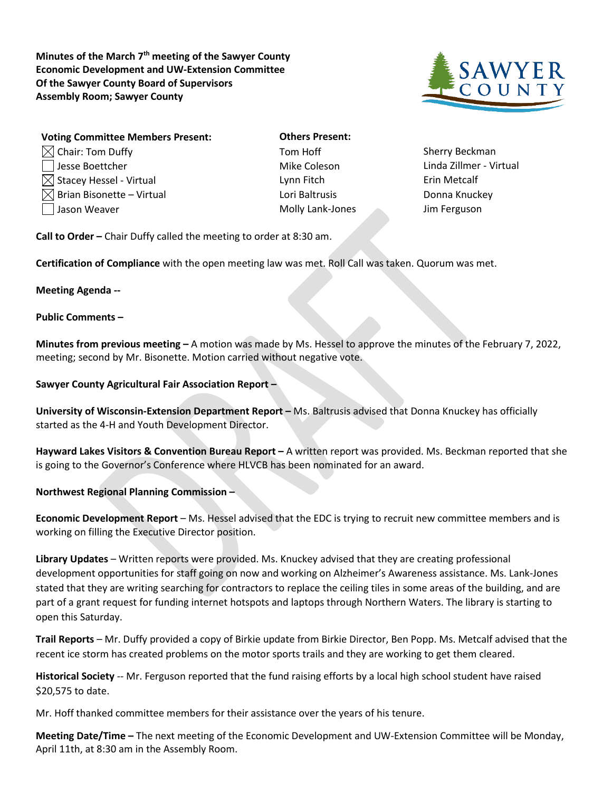**Minutes of the March 7th meeting of the Sawyer County Economic Development and UW-Extension Committee Of the Sawyer County Board of Supervisors Assembly Room; Sawyer County**



| <b>Voting Committee Members Present:</b> | <b>Others Present:</b> |                     |
|------------------------------------------|------------------------|---------------------|
| $\boxtimes$ Chair: Tom Duffy             | Tom Hoff               | <b>Sherry Becki</b> |
| □ Jesse Boettcher                        | Mike Coleson           | Linda Zillme        |
| $\boxtimes$ Stacey Hessel - Virtual      | Lynn Fitch             | Erin Metcalf        |
| $\boxtimes$ Brian Bisonette – Virtual    | Lori Baltrusis         | Donna Knuc          |
| Jason Weaver                             | Molly Lank-Jones       | Jim Fergusor        |

**Others Present:** Tom Hoff Sherry Beckman Lori Baltrusis – Vietnam Bonna Knuckey Molly Lank-Jones Jim Ferguson

Mike Coleson Linda Zillmer - Virtual

**Call to Order –** Chair Duffy called the meeting to order at 8:30 am.

**Certification of Compliance** with the open meeting law was met. Roll Call was taken. Quorum was met.

## **Meeting Agenda --**

## **Public Comments –**

**Minutes from previous meeting –** A motion was made by Ms. Hessel to approve the minutes of the February 7, 2022, meeting; second by Mr. Bisonette. Motion carried without negative vote.

## **Sawyer County Agricultural Fair Association Report –**

**University of Wisconsin-Extension Department Report –** Ms. Baltrusis advised that Donna Knuckey has officially started as the 4-H and Youth Development Director.

**Hayward Lakes Visitors & Convention Bureau Report –** A written report was provided. Ms. Beckman reported that she is going to the Governor's Conference where HLVCB has been nominated for an award.

**Northwest Regional Planning Commission –**

**Economic Development Report** – Ms. Hessel advised that the EDC is trying to recruit new committee members and is working on filling the Executive Director position.

**Library Updates** – Written reports were provided. Ms. Knuckey advised that they are creating professional development opportunities for staff going on now and working on Alzheimer's Awareness assistance. Ms. Lank-Jones stated that they are writing searching for contractors to replace the ceiling tiles in some areas of the building, and are part of a grant request for funding internet hotspots and laptops through Northern Waters. The library is starting to open this Saturday.

**Trail Reports** – Mr. Duffy provided a copy of Birkie update from Birkie Director, Ben Popp. Ms. Metcalf advised that the recent ice storm has created problems on the motor sports trails and they are working to get them cleared.

**Historical Society** -- Mr. Ferguson reported that the fund raising efforts by a local high school student have raised \$20,575 to date.

Mr. Hoff thanked committee members for their assistance over the years of his tenure.

**Meeting Date/Time –** The next meeting of the Economic Development and UW-Extension Committee will be Monday, April 11th, at 8:30 am in the Assembly Room.